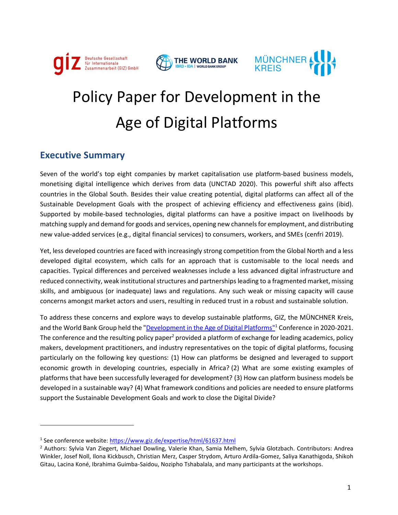**Deutsche Gesellschaft** für Internationale Zusammenarbeit (GIZ) GmbH





# Policy Paper for Development in the Age of Digital Platforms

# **Executive Summary**

Seven of the world's top eight companies by market capitalisation use platform-based business models, monetising digital intelligence which derives from data (UNCTAD 2020). This powerful shift also affects countries in the Global South. Besides their value creating potential, digital platforms can affect all of the Sustainable Development Goals with the prospect of achieving efficiency and effectiveness gains (ibid). Supported by mobile-based technologies, digital platforms can have a positive impact on livelihoods by matching supply and demand for goods and services, opening new channels for employment, and distributing new value-added services (e.g., digital financial services) to consumers, workers, and SMEs (cenfri 2019).

Yet, less developed countries are faced with increasingly strong competition from the Global North and a less developed digital ecosystem, which calls for an approach that is customisable to the local needs and capacities. Typical differences and perceived weaknesses include a less advanced digital infrastructure and reduced connectivity, weak institutional structures and partnerships leading to a fragmented market, missing skills, and ambiguous (or inadequate) laws and regulations. Any such weak or missing capacity will cause concerns amongst market actors and users, resulting in reduced trust in a robust and sustainable solution.

To address these concerns and explore ways to develop sustainable platforms, GIZ, the MÜNCHNER Kreis, and the World Bank Group held the ["Development in the Age of Digital Platforms"](https://www.giz.de/expertise/html/61637.html)<sup>1</sup> Conference in 2020-2021. The conference and the resulting policy paper<sup>2</sup> provided a platform of exchange for leading academics, policy makers, development practitioners, and industry representatives on the topic of digital platforms, focusing particularly on the following key questions: (1) How can platforms be designed and leveraged to support economic growth in developing countries, especially in Africa? (2) What are some existing examples of platforms that have been successfully leveraged for development? (3) How can platform business models be developed in a sustainable way? (4) What framework conditions and policies are needed to ensure platforms support the Sustainable Development Goals and work to close the Digital Divide?

<sup>&</sup>lt;sup>1</sup> See conference website: <u>https://www.giz.de/expertise/html/61637.html</u>

<sup>2</sup> Authors: Sylvia Van Ziegert, Michael Dowling, Valerie Khan, Samia Melhem, Sylvia Glotzbach. Contributors: Andrea Winkler, Josef Noll, Ilona Kickbusch, Christian Merz, Casper Strydom, Arturo Ardila-Gomez, Saliya Kanathigoda, Shikoh Gitau, Lacina Koné, Ibrahima Guimba-Saidou, Nozipho Tshabalala, and many participants at the workshops.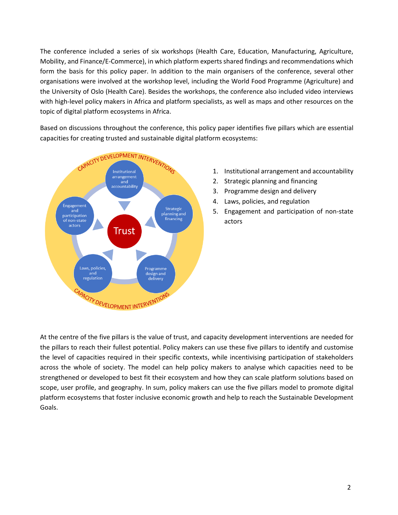The conference included a series of six workshops (Health Care, Education, Manufacturing, Agriculture, Mobility, and Finance/E-Commerce), in which platform experts shared findings and recommendations which form the basis for this policy paper. In addition to the main organisers of the conference, several other organisations were involved at the workshop level, including the World Food Programme (Agriculture) and the University of Oslo (Health Care). Besides the workshops, the conference also included video interviews with high-level policy makers in Africa and platform specialists, as well as maps and other resources on the topic of digital platform ecosystems in Africa.

Based on discussions throughout the conference, this policy paper identifies five pillars which are essential capacities for creating trusted and sustainable digital platform ecosystems:



- 1. Institutional arrangement and accountability
- 2. Strategic planning and financing
- 3. Programme design and delivery
- 4. Laws, policies, and regulation
- 5. Engagement and participation of non-state actors

At the centre of the five pillars is the value of trust, and capacity development interventions are needed for the pillars to reach their fullest potential. Policy makers can use these five pillars to identify and customise the level of capacities required in their specific contexts, while incentivising participation of stakeholders across the whole of society. The model can help policy makers to analyse which capacities need to be strengthened or developed to best fit their ecosystem and how they can scale platform solutions based on scope, user profile, and geography. In sum, policy makers can use the five pillars model to promote digital platform ecosystems that foster inclusive economic growth and help to reach the Sustainable Development Goals.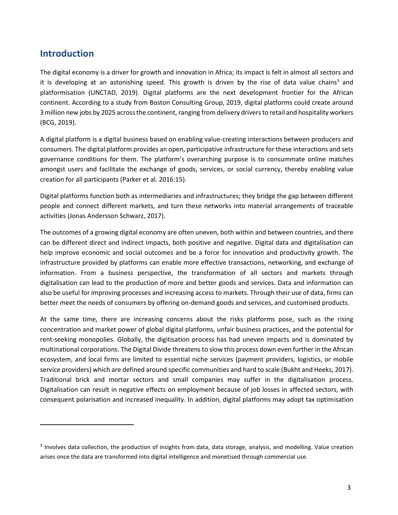## **Introduction**

The digital economy is a driver for growth and innovation in Africa; its impact is felt in almost all sectors and it is developing at an astonishing speed. This growth is driven by the rise of data value chains<sup>3</sup> and platformisation (UNCTAD, 2019). Digital platforms are the next development frontier for the African continent. According to a study from Boston Consulting Group, 2019, digital platforms could create around 3 million new jobs by 2025 across the continent, ranging from delivery drivers to retail and hospitality workers (BCG, 2019).

A digital platform is a digital business based on enabling value-creating interactions between producers and consumers. The digital platform provides an open, participative infrastructure for these interactions and sets governance conditions for them. The platform's overarching purpose is to consummate online matches amongst users and facilitate the exchange of goods, services, or social currency, thereby enabling value creation for all participants (Parker et al. 2016:15).

Digital platforms function both as intermediaries and infrastructures; they bridge the gap between different people and connect different markets, and turn these networks into material arrangements of traceable activities (Jonas Andersson Schwarz, 2017).

The outcomes of a growing digital economy are often uneven, both within and between countries, and there can be different direct and indirect impacts, both positive and negative. Digital data and digitalisation can help improve economic and social outcomes and be a force for innovation and productivity growth. The infrastructure provided by platforms can enable more effective transactions, networking, and exchange of information. From a business perspective, the transformation of all sectors and markets through digitalisation can lead to the production of more and better goods and services. Data and information can also be useful for improving processes and increasing access to markets. Through their use of data, firms can better meet the needs of consumers by offering on-demand goods and services, and customised products.

At the same time, there are increasing concerns about the risks platforms pose, such as the rising concentration and market power of global digital platforms, unfair business practices, and the potential for rent-seeking monopolies. Globally, the digitisation process has had uneven impacts and is dominated by multinational corporations. The Digital Divide threatens to slow this process down even further in the African ecosystem, and local firms are limited to essential niche services (payment providers, logistics, or mobile service providers) which are defined around specific communities and hard to scale (Bukht and Heeks, 2017). Traditional brick and mortar sectors and small companies may suffer in the digitalisation process. Digitalisation can result in negative effects on employment because of job losses in affected sectors, with consequent polarisation and increased inequality. In addition, digital platforms may adopt tax optimisation

 $3$  Involves data collection, the production of insights from data, data storage, analysis, and modelling. Value creation arises once the data are transformed into digital intelligence and monetised through commercial use.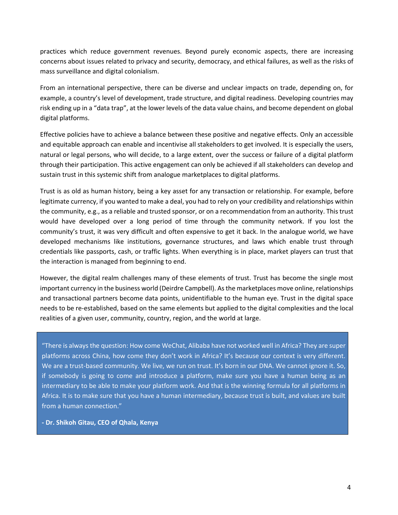practices which reduce government revenues. Beyond purely economic aspects, there are increasing concerns about issues related to privacy and security, democracy, and ethical failures, as well as the risks of mass surveillance and digital colonialism.

From an international perspective, there can be diverse and unclear impacts on trade, depending on, for example, a country's level of development, trade structure, and digital readiness. Developing countries may risk ending up in a "data trap", at the lower levels of the data value chains, and become dependent on global digital platforms.

Effective policies have to achieve a balance between these positive and negative effects. Only an accessible and equitable approach can enable and incentivise all stakeholders to get involved. It is especially the users, natural or legal persons, who will decide, to a large extent, over the success or failure of a digital platform through their participation. This active engagement can only be achieved if all stakeholders can develop and sustain trust in this systemic shift from analogue marketplaces to digital platforms.

Trust is as old as human history, being a key asset for any transaction or relationship. For example, before legitimate currency, if you wanted to make a deal, you had to rely on your credibility and relationships within the community, e.g., as a reliable and trusted sponsor, or on a recommendation from an authority. This trust would have developed over a long period of time through the community network. If you lost the community's trust, it was very difficult and often expensive to get it back. In the analogue world, we have developed mechanisms like institutions, governance structures, and laws which enable trust through credentials like passports, cash, or traffic lights. When everything is in place, market players can trust that the interaction is managed from beginning to end.

However, the digital realm challenges many of these elements of trust. Trust has become the single most important currency in the business world (Deirdre Campbell). As the marketplaces move online, relationships and transactional partners become data points, unidentifiable to the human eye. Trust in the digital space needs to be re-established, based on the same elements but applied to the digital complexities and the local realities of a given user, community, country, region, and the world at large.

"There is always the question: How come WeChat, Alibaba have not worked well in Africa? They are super platforms across China, how come they don't work in Africa? It's because our context is very different. We are a trust-based community. We live, we run on trust. It's born in our DNA. We cannot ignore it. So, if somebody is going to come and introduce a platform, make sure you have a human being as an intermediary to be able to make your platform work. And that is the winning formula for all platforms in Africa. It is to make sure that you have a human intermediary, because trust is built, and values are built from a human connection."

**- Dr. Shikoh Gitau, CEO of Qhala, Kenya**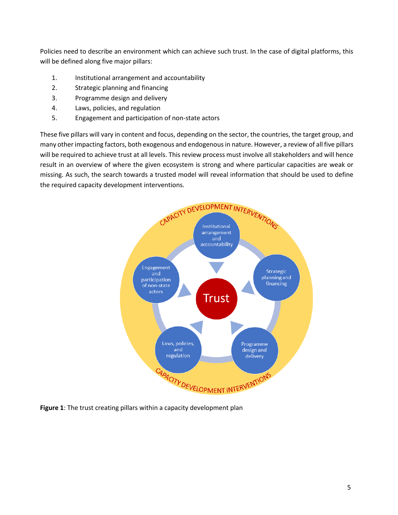Policies need to describe an environment which can achieve such trust. In the case of digital platforms, this will be defined along five major pillars:

- 1. Institutional arrangement and accountability
- 2. Strategic planning and financing
- 3. Programme design and delivery
- 4. Laws, policies, and regulation
- 5. Engagement and participation of non-state actors

These five pillars will vary in content and focus, depending on the sector, the countries, the target group, and many other impacting factors, both exogenous and endogenousin nature. However, a review of all five pillars will be required to achieve trust at all levels. This review process must involve all stakeholders and will hence result in an overview of where the given ecosystem is strong and where particular capacities are weak or missing. As such, the search towards a trusted model will reveal information that should be used to define the required capacity development interventions.



**Figure 1**: The trust creating pillars within a capacity development plan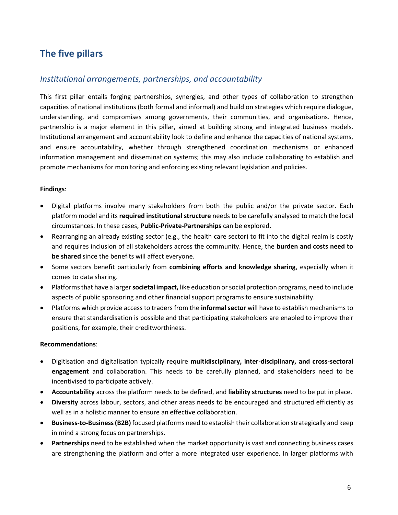# **The five pillars**

### *Institutional arrangements, partnerships, and accountability*

This first pillar entails forging partnerships, synergies, and other types of collaboration to strengthen capacities of national institutions (both formal and informal) and build on strategies which require dialogue, understanding, and compromises among governments, their communities, and organisations. Hence, partnership is a major element in this pillar, aimed at building strong and integrated business models. Institutional arrangement and accountability look to define and enhance the capacities of national systems, and ensure accountability, whether through strengthened coordination mechanisms or enhanced information management and dissemination systems; this may also include collaborating to establish and promote mechanisms for monitoring and enforcing existing relevant legislation and policies.

#### **Findings**:

- Digital platforms involve many stakeholders from both the public and/or the private sector. Each platform model and its **required institutional structure** needs to be carefully analysed to match the local circumstances. In these cases, **Public-Private-Partnerships** can be explored.
- Rearranging an already existing sector (e.g., the health care sector) to fit into the digital realm is costly and requires inclusion of all stakeholders across the community. Hence, the **burden and costs need to be shared** since the benefits will affect everyone.
- Some sectors benefit particularly from **combining efforts and knowledge sharing**, especially when it comes to data sharing.
- Platforms that have a larger **societal impact,** like education or social protection programs, need to include aspects of public sponsoring and other financial support programs to ensure sustainability.
- Platforms which provide access to traders from the **informal sector** will have to establish mechanisms to ensure that standardisation is possible and that participating stakeholders are enabled to improve their positions, for example, their creditworthiness.

#### **Recommendations**:

- Digitisation and digitalisation typically require **multidisciplinary, inter-disciplinary, and cross-sectoral engagement** and collaboration. This needs to be carefully planned, and stakeholders need to be incentivised to participate actively.
- **Accountability** across the platform needs to be defined, and **liability structures** need to be put in place.
- **Diversity** across labour, sectors, and other areas needs to be encouraged and structured efficiently as well as in a holistic manner to ensure an effective collaboration.
- **Business-to-Business (B2B)** focused platforms need to establish their collaboration strategically and keep in mind a strong focus on partnerships.
- **Partnerships** need to be established when the market opportunity is vast and connecting business cases are strengthening the platform and offer a more integrated user experience. In larger platforms with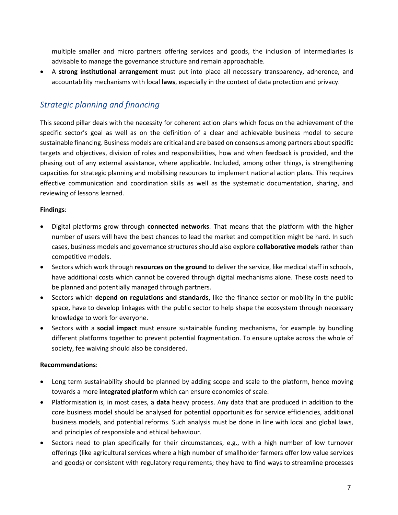multiple smaller and micro partners offering services and goods, the inclusion of intermediaries is advisable to manage the governance structure and remain approachable.

• A **strong institutional arrangement** must put into place all necessary transparency, adherence, and accountability mechanisms with local **laws**, especially in the context of data protection and privacy.

# *Strategic planning and financing*

This second pillar deals with the necessity for coherent action plans which focus on the achievement of the specific sector's goal as well as on the definition of a clear and achievable business model to secure sustainable financing. Business models are critical and are based on consensus among partners about specific targets and objectives, division of roles and responsibilities, how and when feedback is provided, and the phasing out of any external assistance, where applicable. Included, among other things, is strengthening capacities for strategic planning and mobilising resources to implement national action plans. This requires effective communication and coordination skills as well as the systematic documentation, sharing, and reviewing of lessons learned.

#### **Findings**:

- Digital platforms grow through **connected networks**. That means that the platform with the higher number of users will have the best chances to lead the market and competition might be hard. In such cases, business models and governance structures should also explore **collaborative models** rather than competitive models.
- Sectors which work through **resources on the ground** to deliver the service, like medical staff in schools, have additional costs which cannot be covered through digital mechanisms alone. These costs need to be planned and potentially managed through partners.
- Sectors which **depend on regulations and standards**, like the finance sector or mobility in the public space, have to develop linkages with the public sector to help shape the ecosystem through necessary knowledge to work for everyone.
- Sectors with a **social impact** must ensure sustainable funding mechanisms, for example by bundling different platforms together to prevent potential fragmentation. To ensure uptake across the whole of society, fee waiving should also be considered.

#### **Recommendations**:

- Long term sustainability should be planned by adding scope and scale to the platform, hence moving towards a more **integrated platform** which can ensure economies of scale.
- Platformisation is, in most cases, a **data** heavy process. Any data that are produced in addition to the core business model should be analysed for potential opportunities for service efficiencies, additional business models, and potential reforms. Such analysis must be done in line with local and global laws, and principles of responsible and ethical behaviour.
- Sectors need to plan specifically for their circumstances, e.g., with a high number of low turnover offerings (like agricultural services where a high number of smallholder farmers offer low value services and goods) or consistent with regulatory requirements; they have to find ways to streamline processes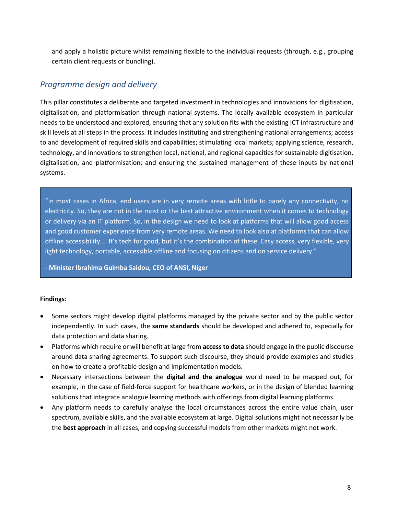and apply a holistic picture whilst remaining flexible to the individual requests (through, e.g., grouping certain client requests or bundling).

## *Programme design and delivery*

This pillar constitutes a deliberate and targeted investment in technologies and innovations for digitisation, digitalisation, and platformisation through national systems. The locally available ecosystem in particular needs to be understood and explored, ensuring that any solution fits with the existing ICT infrastructure and skill levels at all steps in the process. It includes instituting and strengthening national arrangements; access to and development of required skills and capabilities; stimulating local markets; applying science, research, technology, and innovations to strengthen local, national, and regional capacities for sustainable digitisation, digitalisation, and platformisation; and ensuring the sustained management of these inputs by national systems.

"In most cases in Africa, end users are in very remote areas with little to barely any connectivity, no electricity. So, they are not in the most or the best attractive environment when it comes to technology or delivery via an IT platform. So, in the design we need to look at platforms that will allow good access and good customer experience from very remote areas. We need to look also at platforms that can allow offline accessibility…. It's tech for good, but it's the combination of these. Easy access, very flexible, very light technology, portable, accessible offline and focusing on citizens and on service delivery."

- **Minister Ibrahima Guimba Saidou, CEO of ANSI, Niger**

#### **Findings**:

- Some sectors might develop digital platforms managed by the private sector and by the public sector independently. In such cases, the **same standards** should be developed and adhered to, especially for data protection and data sharing.
- Platforms which require or will benefit at large from **access to data** should engage in the public discourse around data sharing agreements. To support such discourse, they should provide examples and studies on how to create a profitable design and implementation models.
- Necessary intersections between the **digital and the analogue** world need to be mapped out, for example, in the case of field-force support for healthcare workers, or in the design of blended learning solutions that integrate analogue learning methods with offerings from digital learning platforms.
- Any platform needs to carefully analyse the local circumstances across the entire value chain, user spectrum, available skills, and the available ecosystem at large. Digital solutions might not necessarily be the **best approach** in all cases, and copying successful models from other markets might not work.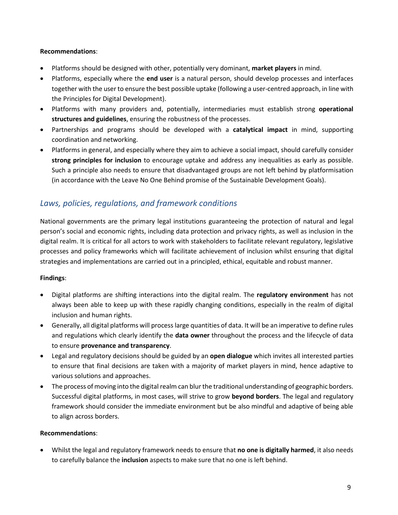#### **Recommendations**:

- Platforms should be designed with other, potentially very dominant, **market players** in mind.
- Platforms, especially where the **end user** is a natural person, should develop processes and interfaces together with the user to ensure the best possible uptake (following a user-centred approach, in line with the Principles for Digital Development).
- Platforms with many providers and, potentially, intermediaries must establish strong **operational structures and guidelines**, ensuring the robustness of the processes.
- Partnerships and programs should be developed with a **catalytical impact** in mind, supporting coordination and networking.
- Platforms in general, and especially where they aim to achieve a social impact, should carefully consider **strong principles for inclusion** to encourage uptake and address any inequalities as early as possible. Such a principle also needs to ensure that disadvantaged groups are not left behind by platformisation (in accordance with the Leave No One Behind promise of the Sustainable Development Goals).

## *Laws, policies, regulations, and framework conditions*

National governments are the primary legal institutions guaranteeing the protection of natural and legal person's social and economic rights, including data protection and privacy rights, as well as inclusion in the digital realm. It is critical for all actors to work with stakeholders to facilitate relevant regulatory, legislative processes and policy frameworks which will facilitate achievement of inclusion whilst ensuring that digital strategies and implementations are carried out in a principled, ethical, equitable and robust manner.

#### **Findings**:

- Digital platforms are shifting interactions into the digital realm. The **regulatory environment** has not always been able to keep up with these rapidly changing conditions, especially in the realm of digital inclusion and human rights.
- Generally, all digital platforms will process large quantities of data. It will be an imperative to define rules and regulations which clearly identify the **data owner** throughout the process and the lifecycle of data to ensure **provenance and transparency**.
- Legal and regulatory decisions should be guided by an **open dialogue** which invites all interested parties to ensure that final decisions are taken with a majority of market players in mind, hence adaptive to various solutions and approaches.
- The process of moving into the digital realm can blur the traditional understanding of geographic borders. Successful digital platforms, in most cases, will strive to grow **beyond borders**. The legal and regulatory framework should consider the immediate environment but be also mindful and adaptive of being able to align across borders.

#### **Recommendations**:

• Whilst the legal and regulatory framework needs to ensure that **no one is digitally harmed**, it also needs to carefully balance the **inclusion** aspects to make sure that no one is left behind.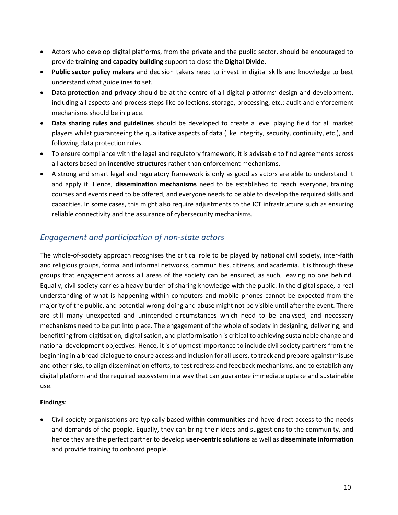- Actors who develop digital platforms, from the private and the public sector, should be encouraged to provide **training and capacity building** support to close the **Digital Divide**.
- **Public sector policy makers** and decision takers need to invest in digital skills and knowledge to best understand what guidelines to set.
- **Data protection and privacy** should be at the centre of all digital platforms' design and development, including all aspects and process steps like collections, storage, processing, etc.; audit and enforcement mechanisms should be in place.
- **Data sharing rules and guidelines** should be developed to create a level playing field for all market players whilst guaranteeing the qualitative aspects of data (like integrity, security, continuity, etc.), and following data protection rules.
- To ensure compliance with the legal and regulatory framework, it is advisable to find agreements across all actors based on **incentive structures** rather than enforcement mechanisms.
- A strong and smart legal and regulatory framework is only as good as actors are able to understand it and apply it. Hence, **dissemination mechanisms** need to be established to reach everyone, training courses and events need to be offered, and everyone needs to be able to develop the required skills and capacities. In some cases, this might also require adjustments to the ICT infrastructure such as ensuring reliable connectivity and the assurance of cybersecurity mechanisms.

# *Engagement and participation of non-state actors*

The whole-of-society approach recognises the critical role to be played by national civil society, inter-faith and religious groups, formal and informal networks, communities, citizens, and academia. It is through these groups that engagement across all areas of the society can be ensured, as such, leaving no one behind. Equally, civil society carries a heavy burden of sharing knowledge with the public. In the digital space, a real understanding of what is happening within computers and mobile phones cannot be expected from the majority of the public, and potential wrong-doing and abuse might not be visible until after the event. There are still many unexpected and unintended circumstances which need to be analysed, and necessary mechanisms need to be put into place. The engagement of the whole of society in designing, delivering, and benefitting from digitisation, digitalisation, and platformisation is critical to achieving sustainable change and national development objectives. Hence, it is of upmost importance to include civil society partners from the beginning in a broad dialogue to ensure access and inclusion for all users, to track and prepare against misuse and other risks, to align dissemination efforts, to test redress and feedback mechanisms, and to establish any digital platform and the required ecosystem in a way that can guarantee immediate uptake and sustainable use.

#### **Findings**:

• Civil society organisations are typically based **within communities** and have direct access to the needs and demands of the people. Equally, they can bring their ideas and suggestions to the community, and hence they are the perfect partner to develop **user-centric solutions** as well as **disseminate information** and provide training to onboard people.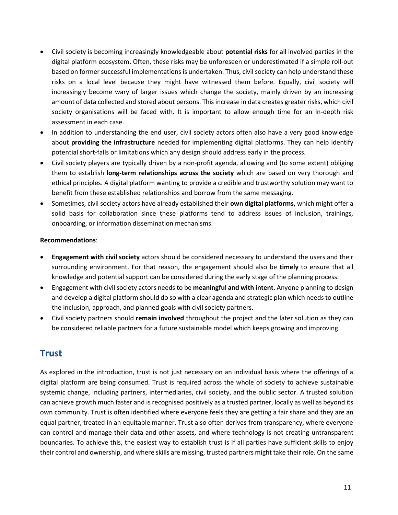- Civil society is becoming increasingly knowledgeable about **potential risks** for all involved parties in the digital platform ecosystem. Often, these risks may be unforeseen or underestimated if a simple roll-out based on former successful implementations is undertaken. Thus, civil society can help understand these risks on a local level because they might have witnessed them before. Equally, civil society will increasingly become wary of larger issues which change the society, mainly driven by an increasing amount of data collected and stored about persons. This increase in data creates greater risks, which civil society organisations will be faced with. It is important to allow enough time for an in-depth risk assessment in each case.
- In addition to understanding the end user, civil society actors often also have a very good knowledge about **providing the infrastructure** needed for implementing digital platforms. They can help identify potential short-falls or limitations which any design should address early in the process.
- Civil society players are typically driven by a non-profit agenda, allowing and (to some extent) obliging them to establish **long-term relationships across the society** which are based on very thorough and ethical principles. A digital platform wanting to provide a credible and trustworthy solution may want to benefit from these established relationships and borrow from the same messaging.
- Sometimes, civil society actors have already established their **own digital platforms,** which might offer a solid basis for collaboration since these platforms tend to address issues of inclusion, trainings, onboarding, or information dissemination mechanisms.

#### **Recommendations**:

- **Engagement with civil society** actors should be considered necessary to understand the users and their surrounding environment. For that reason, the engagement should also be **timely** to ensure that all knowledge and potential support can be considered during the early stage of the planning process.
- Engagement with civil society actors needs to be **meaningful and with intent**. Anyone planning to design and develop a digital platform should do so with a clear agenda and strategic plan which needs to outline the inclusion, approach, and planned goals with civil society partners.
- Civil society partners should **remain involved** throughout the project and the later solution as they can be considered reliable partners for a future sustainable model which keeps growing and improving.

# **Trust**

As explored in the introduction, trust is not just necessary on an individual basis where the offerings of a digital platform are being consumed. Trust is required across the whole of society to achieve sustainable systemic change, including partners, intermediaries, civil society, and the public sector. A trusted solution can achieve growth much faster and is recognised positively as a trusted partner, locally as well as beyond its own community. Trust is often identified where everyone feels they are getting a fair share and they are an equal partner, treated in an equitable manner. Trust also often derives from transparency, where everyone can control and manage their data and other assets, and where technology is not creating untransparent boundaries. To achieve this, the easiest way to establish trust is if all parties have sufficient skills to enjoy their control and ownership, and where skills are missing, trusted partners might take their role. On the same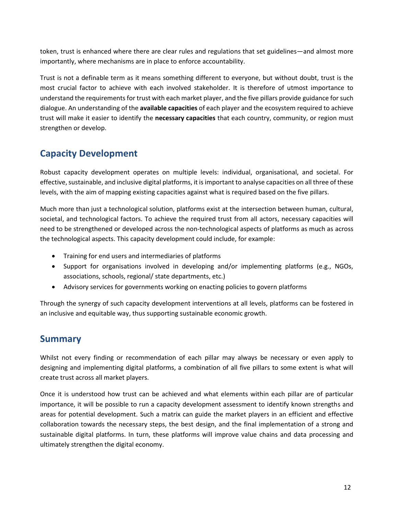token, trust is enhanced where there are clear rules and regulations that set guidelines—and almost more importantly, where mechanisms are in place to enforce accountability.

Trust is not a definable term as it means something different to everyone, but without doubt, trust is the most crucial factor to achieve with each involved stakeholder. It is therefore of utmost importance to understand the requirements for trust with each market player, and the five pillars provide guidance for such dialogue. An understanding of the **available capacities** of each player and the ecosystem required to achieve trust will make it easier to identify the **necessary capacities** that each country, community, or region must strengthen or develop.

# **Capacity Development**

Robust capacity development operates on multiple levels: individual, organisational, and societal. For effective, sustainable, and inclusive digital platforms, it isimportant to analyse capacities on all three of these levels, with the aim of mapping existing capacities against what is required based on the five pillars.

Much more than just a technological solution, platforms exist at the intersection between human, cultural, societal, and technological factors. To achieve the required trust from all actors, necessary capacities will need to be strengthened or developed across the non-technological aspects of platforms as much as across the technological aspects. This capacity development could include, for example:

- Training for end users and intermediaries of platforms
- Support for organisations involved in developing and/or implementing platforms (e.g., NGOs, associations, schools, regional/ state departments, etc.)
- Advisory services for governments working on enacting policies to govern platforms

Through the synergy of such capacity development interventions at all levels, platforms can be fostered in an inclusive and equitable way, thus supporting sustainable economic growth.

# **Summary**

Whilst not every finding or recommendation of each pillar may always be necessary or even apply to designing and implementing digital platforms, a combination of all five pillars to some extent is what will create trust across all market players.

Once it is understood how trust can be achieved and what elements within each pillar are of particular importance, it will be possible to run a capacity development assessment to identify known strengths and areas for potential development. Such a matrix can guide the market players in an efficient and effective collaboration towards the necessary steps, the best design, and the final implementation of a strong and sustainable digital platforms. In turn, these platforms will improve value chains and data processing and ultimately strengthen the digital economy.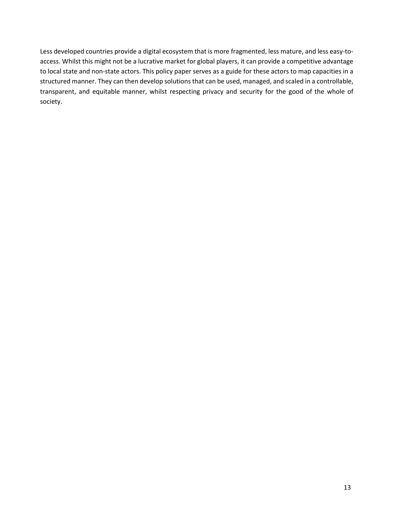Less developed countries provide a digital ecosystem that is more fragmented, less mature, and less easy-toaccess. Whilst this might not be a lucrative market for global players, it can provide a competitive advantage to local state and non-state actors. This policy paper serves as a guide for these actors to map capacities in a structured manner. They can then develop solutions that can be used, managed, and scaled in a controllable, transparent, and equitable manner, whilst respecting privacy and security for the good of the whole of society.